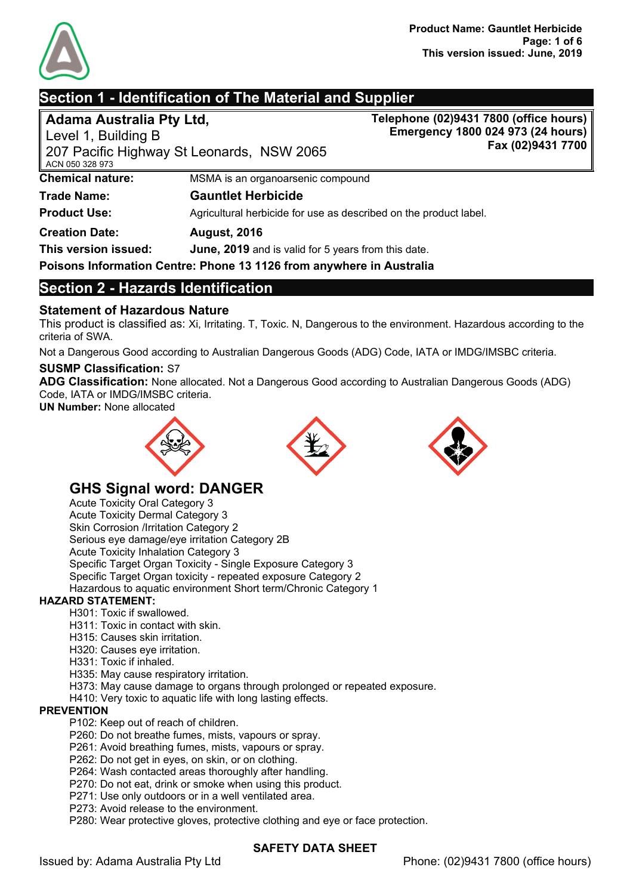

# **Section 1 - Identification of The Material and Supplier**

**Adama Australia Pty Ltd,**

Level 1, Building B

**Telephone (02)9431 7800 (office hours) Emergency 1800 024 973 (24 hours) Fax (02)9431 7700**

| ∥ ACN 050 328 973       | 207 Pacific Highway St Leonards, NSW 2065                            | rax |
|-------------------------|----------------------------------------------------------------------|-----|
| <b>Chemical nature:</b> | MSMA is an organoarsenic compound                                    |     |
| <b>Trade Name:</b>      | <b>Gauntlet Herbicide</b>                                            |     |
| <b>Product Use:</b>     | Agricultural herbicide for use as described on the product label.    |     |
| <b>Creation Date:</b>   | <b>August, 2016</b>                                                  |     |
| This version issued:    | June, 2019 and is valid for 5 years from this date.                  |     |
|                         | Poisons Information Centre: Phone 13 1126 from anywhere in Australia |     |

# **Section 2 - Hazards Identification**

# **Statement of Hazardous Nature**

This product is classified as: Xi, Irritating. T, Toxic. N, Dangerous to the environment. Hazardous according to the criteria of SWA.

Not a Dangerous Good according to Australian Dangerous Goods (ADG) Code, IATA or IMDG/IMSBC criteria.

#### **SUSMP Classification:** S7

**ADG Classification:** None allocated. Not a Dangerous Good according to Australian Dangerous Goods (ADG) Code, IATA or IMDG/IMSBC criteria.

**UN Number:** None allocated







# **GHS Signal word: DANGER**

Acute Toxicity Oral Category 3 Acute Toxicity Dermal Category 3 Skin Corrosion /Irritation Category 2 Serious eye damage/eye irritation Category 2B Acute Toxicity Inhalation Category 3 Specific Target Organ Toxicity - Single Exposure Category 3 Specific Target Organ toxicity - repeated exposure Category 2 Hazardous to aquatic environment Short term/Chronic Category 1

### **HAZARD STATEMENT:**

- H301: Toxic if swallowed.
- H311: Toxic in contact with skin.
- H315: Causes skin irritation.
- H320: Causes eye irritation.
- H331: Toxic if inhaled.
- H335: May cause respiratory irritation.
- H373: May cause damage to organs through prolonged or repeated exposure.
- H410: Very toxic to aquatic life with long lasting effects.

#### **PREVENTION**

- P102: Keep out of reach of children.
- P260: Do not breathe fumes, mists, vapours or spray.
- P261: Avoid breathing fumes, mists, vapours or spray.
- P262: Do not get in eyes, on skin, or on clothing.
- P264: Wash contacted areas thoroughly after handling.
- P270: Do not eat, drink or smoke when using this product.
- P271: Use only outdoors or in a well ventilated area.
- P273: Avoid release to the environment.
- P280: Wear protective gloves, protective clothing and eye or face protection.

### **SAFETY DATA SHEET**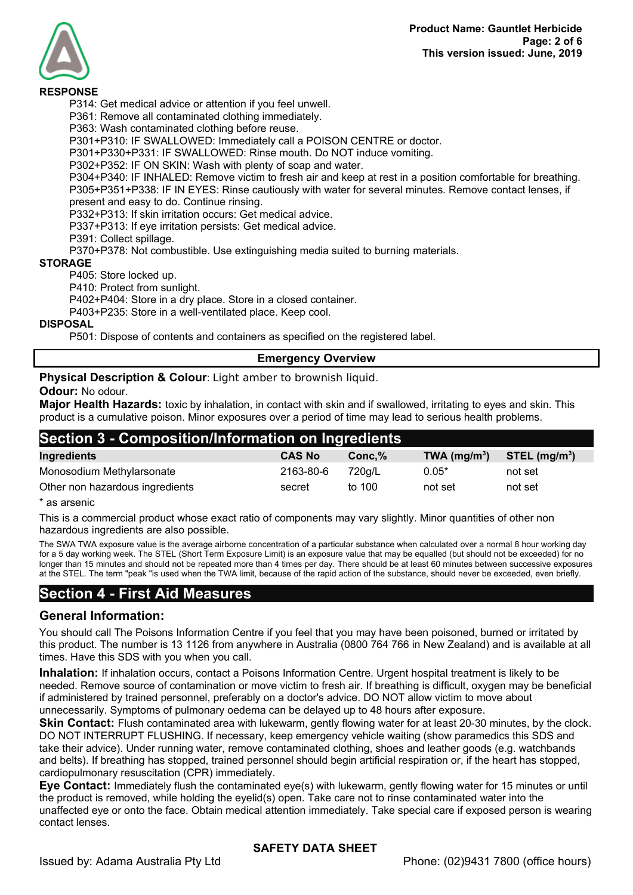

#### **RESPONSE**

P314: Get medical advice or attention if you feel unwell.

P361: Remove all contaminated clothing immediately.

P363: Wash contaminated clothing before reuse.

P301+P310: IF SWALLOWED: Immediately call a POISON CENTRE or doctor.

P301+P330+P331: IF SWALLOWED: Rinse mouth. Do NOT induce vomiting.

P302+P352: IF ON SKIN: Wash with plenty of soap and water.

P304+P340: IF INHALED: Remove victim to fresh air and keep at rest in a position comfortable for breathing. P305+P351+P338: IF IN EYES: Rinse cautiously with water for several minutes. Remove contact lenses, if present and easy to do. Continue rinsing.

P332+P313: If skin irritation occurs: Get medical advice.

P337+P313: If eye irritation persists: Get medical advice.

P391: Collect spillage.

P370+P378: Not combustible. Use extinguishing media suited to burning materials.

#### **STORAGE**

P405: Store locked up.

P410: Protect from sunlight.

P402+P404: Store in a dry place. Store in a closed container.

P403+P235: Store in a well-ventilated place. Keep cool.

#### **DISPOSAL**

P501: Dispose of contents and containers as specified on the registered label.

#### **Emergency Overview**

**Physical Description & Colour**: Light amber to brownish liquid.

#### **Odour:** No odour.

**Major Health Hazards:** toxic by inhalation, in contact with skin and if swallowed, irritating to eyes and skin. This product is a cumulative poison. Minor exposures over a period of time may lead to serious health problems.

# **Section 3 - Composition/Information on Ingredients**

| Ingredients                     | <b>CAS No</b> | Conc.% | $TWA$ (mg/m <sup>3</sup> ) | $STEL$ (mg/m <sup>3</sup> ) |
|---------------------------------|---------------|--------|----------------------------|-----------------------------|
| Monosodium Methylarsonate       | 2163-80-6     | 720a/L | $0.05*$                    | not set                     |
| Other non hazardous ingredients | secret        | to 100 | not set                    | not set                     |

\* as arsenic

This is a commercial product whose exact ratio of components may vary slightly. Minor quantities of other non hazardous ingredients are also possible.

The SWA TWA exposure value is the average airborne concentration of a particular substance when calculated over a normal 8 hour working day for a 5 day working week. The STEL (Short Term Exposure Limit) is an exposure value that may be equalled (but should not be exceeded) for no longer than 15 minutes and should not be repeated more than 4 times per day. There should be at least 60 minutes between successive exposures at the STEL. The term "peak "is used when the TWA limit, because of the rapid action of the substance, should never be exceeded, even briefly.

# **Section 4 - First Aid Measures**

### **General Information:**

You should call The Poisons Information Centre if you feel that you may have been poisoned, burned or irritated by this product. The number is 13 1126 from anywhere in Australia (0800 764 766 in New Zealand) and is available at all times. Have this SDS with you when you call.

**Inhalation:** If inhalation occurs, contact a Poisons Information Centre. Urgent hospital treatment is likely to be needed. Remove source of contamination or move victim to fresh air. If breathing is difficult, oxygen may be beneficial if administered by trained personnel, preferably on a doctor's advice. DO NOT allow victim to move about unnecessarily. Symptoms of pulmonary oedema can be delayed up to 48 hours after exposure.

**Skin Contact:** Flush contaminated area with lukewarm, gently flowing water for at least 20-30 minutes, by the clock. DO NOT INTERRUPT FLUSHING. If necessary, keep emergency vehicle waiting (show paramedics this SDS and take their advice). Under running water, remove contaminated clothing, shoes and leather goods (e.g. watchbands and belts). If breathing has stopped, trained personnel should begin artificial respiration or, if the heart has stopped, cardiopulmonary resuscitation (CPR) immediately.

**Eye Contact:** Immediately flush the contaminated eye(s) with lukewarm, gently flowing water for 15 minutes or until the product is removed, while holding the eyelid(s) open. Take care not to rinse contaminated water into the unaffected eye or onto the face. Obtain medical attention immediately. Take special care if exposed person is wearing contact lenses.

### **SAFETY DATA SHEET**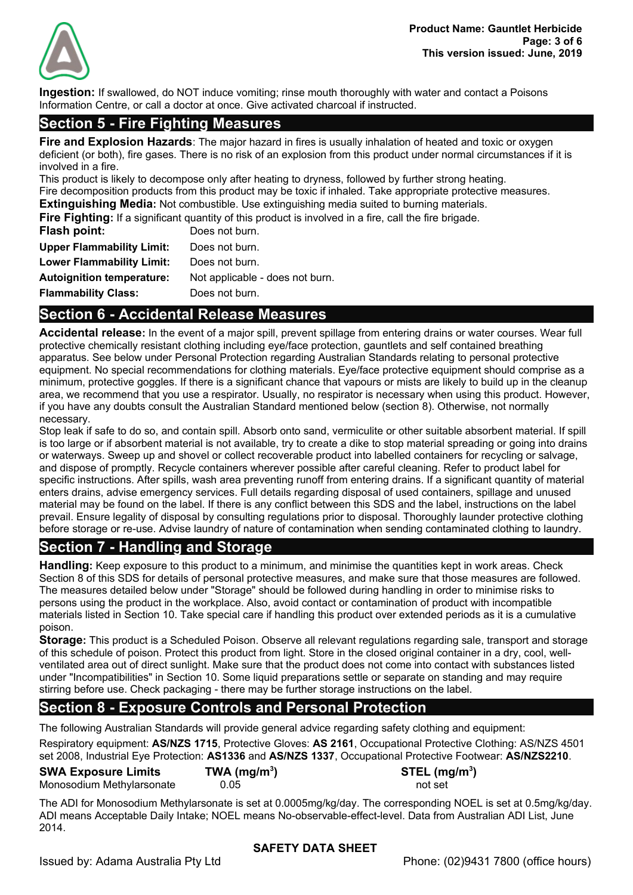

**Ingestion:** If swallowed, do NOT induce vomiting; rinse mouth thoroughly with water and contact a Poisons Information Centre, or call a doctor at once. Give activated charcoal if instructed.

# **Section 5 - Fire Fighting Measures**

**Fire and Explosion Hazards**: The major hazard in fires is usually inhalation of heated and toxic or oxygen deficient (or both), fire gases. There is no risk of an explosion from this product under normal circumstances if it is involved in a fire.

This product is likely to decompose only after heating to dryness, followed by further strong heating. Fire decomposition products from this product may be toxic if inhaled. Take appropriate protective measures. **Extinguishing Media:** Not combustible. Use extinguishing media suited to burning materials.

**Fire Fighting:** If a significant quantity of this product is involved in a fire, call the fire brigade.

| Flash point:                     | Does not burn.                  |
|----------------------------------|---------------------------------|
| <b>Upper Flammability Limit:</b> | Does not burn.                  |
| <b>Lower Flammability Limit:</b> | Does not burn.                  |
| <b>Autoignition temperature:</b> | Not applicable - does not burn. |
| <b>Flammability Class:</b>       | Does not burn.                  |

# **Section 6 - Accidental Release Measures**

**Accidental release:** In the event of a major spill, prevent spillage from entering drains or water courses. Wear full protective chemically resistant clothing including eye/face protection, gauntlets and self contained breathing apparatus. See below under Personal Protection regarding Australian Standards relating to personal protective equipment. No special recommendations for clothing materials. Eye/face protective equipment should comprise as a minimum, protective goggles. If there is a significant chance that vapours or mists are likely to build up in the cleanup area, we recommend that you use a respirator. Usually, no respirator is necessary when using this product. However, if you have any doubts consult the Australian Standard mentioned below (section 8). Otherwise, not normally necessary.

Stop leak if safe to do so, and contain spill. Absorb onto sand, vermiculite or other suitable absorbent material. If spill is too large or if absorbent material is not available, try to create a dike to stop material spreading or going into drains or waterways. Sweep up and shovel or collect recoverable product into labelled containers for recycling or salvage, and dispose of promptly. Recycle containers wherever possible after careful cleaning. Refer to product label for specific instructions. After spills, wash area preventing runoff from entering drains. If a significant quantity of material enters drains, advise emergency services. Full details regarding disposal of used containers, spillage and unused material may be found on the label. If there is any conflict between this SDS and the label, instructions on the label prevail. Ensure legality of disposal by consulting regulations prior to disposal. Thoroughly launder protective clothing before storage or re-use. Advise laundry of nature of contamination when sending contaminated clothing to laundry.

# **Section 7 - Handling and Storage**

**Handling:** Keep exposure to this product to a minimum, and minimise the quantities kept in work areas. Check Section 8 of this SDS for details of personal protective measures, and make sure that those measures are followed. The measures detailed below under "Storage" should be followed during handling in order to minimise risks to persons using the product in the workplace. Also, avoid contact or contamination of product with incompatible materials listed in Section 10. Take special care if handling this product over extended periods as it is a cumulative poison.

**Storage:** This product is a Scheduled Poison. Observe all relevant regulations regarding sale, transport and storage of this schedule of poison. Protect this product from light. Store in the closed original container in a dry, cool, wellventilated area out of direct sunlight. Make sure that the product does not come into contact with substances listed under "Incompatibilities" in Section 10. Some liquid preparations settle or separate on standing and may require stirring before use. Check packaging - there may be further storage instructions on the label.

# **Section 8 - Exposure Controls and Personal Protection**

The following Australian Standards will provide general advice regarding safety clothing and equipment: Respiratory equipment: **AS/NZS 1715**, Protective Gloves: **AS 2161**, Occupational Protective Clothing: AS/NZS 4501 set 2008, Industrial Eye Protection: **AS1336** and **AS/NZS 1337**, Occupational Protective Footwear: **AS/NZS2210**.

**SWA Exposure Limits TWA (mg/m<sup>3</sup>** Monosodium Methylarsonate 0.05 not set

**) STEL (mg/m<sup>3</sup> )**

The ADI for Monosodium Methylarsonate is set at 0.0005mg/kg/day. The corresponding NOEL is set at 0.5mg/kg/day. ADI means Acceptable Daily Intake; NOEL means No-observable-effect-level. Data from Australian ADI List, June 2014.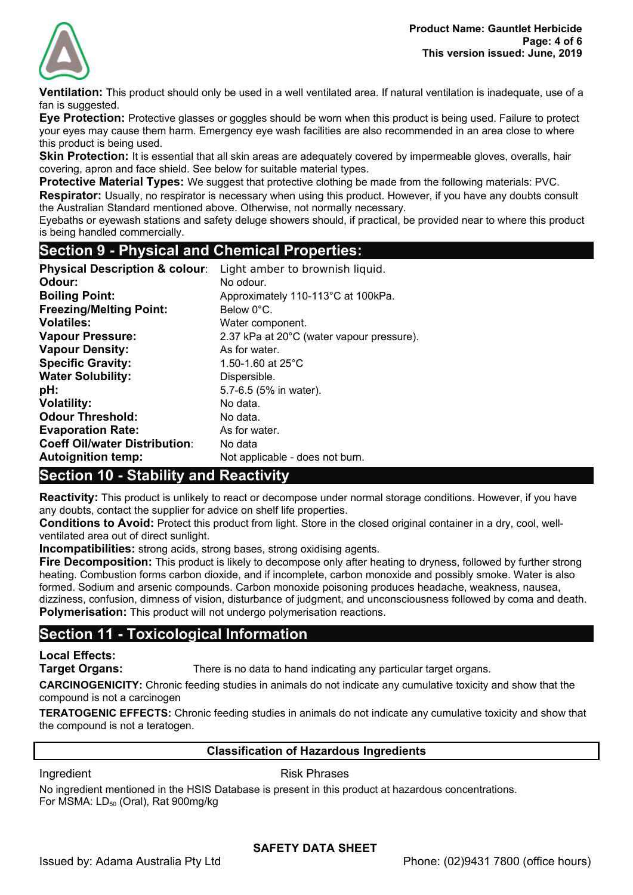

**Ventilation:** This product should only be used in a well ventilated area. If natural ventilation is inadequate, use of a fan is suggested.

**Eye Protection:** Protective glasses or goggles should be worn when this product is being used. Failure to protect your eyes may cause them harm. Emergency eye wash facilities are also recommended in an area close to where this product is being used.

**Skin Protection:** It is essential that all skin areas are adequately covered by impermeable gloves, overalls, hair covering, apron and face shield. See below for suitable material types.

**Protective Material Types:** We suggest that protective clothing be made from the following materials: PVC.

**Respirator:** Usually, no respirator is necessary when using this product. However, if you have any doubts consult the Australian Standard mentioned above. Otherwise, not normally necessary.

Eyebaths or eyewash stations and safety deluge showers should, if practical, be provided near to where this product is being handled commercially.

# **Section 9 - Physical and Chemical Properties:**

| <b>Physical Description &amp; colour:</b> | Light amber to brownish liquid.           |
|-------------------------------------------|-------------------------------------------|
| Odour:                                    | No odour.                                 |
| <b>Boiling Point:</b>                     | Approximately 110-113°C at 100kPa.        |
| <b>Freezing/Melting Point:</b>            | Below 0°C.                                |
| <b>Volatiles:</b>                         | Water component.                          |
| <b>Vapour Pressure:</b>                   | 2.37 kPa at 20°C (water vapour pressure). |
| <b>Vapour Density:</b>                    | As for water.                             |
| <b>Specific Gravity:</b>                  | 1.50-1.60 at $25^{\circ}$ C               |
| <b>Water Solubility:</b>                  | Dispersible.                              |
| pH:                                       | 5.7-6.5 (5% in water).                    |
| <b>Volatility:</b>                        | No data.                                  |
| <b>Odour Threshold:</b>                   | No data.                                  |
| <b>Evaporation Rate:</b>                  | As for water.                             |
| <b>Coeff Oil/water Distribution:</b>      | No data                                   |
| <b>Autoignition temp:</b>                 | Not applicable - does not burn.           |

# **Section 10 - Stability and Reactivity**

**Reactivity:** This product is unlikely to react or decompose under normal storage conditions. However, if you have any doubts, contact the supplier for advice on shelf life properties.

**Conditions to Avoid:** Protect this product from light. Store in the closed original container in a dry, cool, wellventilated area out of direct sunlight.

**Incompatibilities:** strong acids, strong bases, strong oxidising agents.

**Fire Decomposition:** This product is likely to decompose only after heating to dryness, followed by further strong heating. Combustion forms carbon dioxide, and if incomplete, carbon monoxide and possibly smoke. Water is also formed. Sodium and arsenic compounds. Carbon monoxide poisoning produces headache, weakness, nausea, dizziness, confusion, dimness of vision, disturbance of judgment, and unconsciousness followed by coma and death. **Polymerisation:** This product will not undergo polymerisation reactions.

# **Section 11 - Toxicological Information**

**Local Effects:** 

**Target Organs:** There is no data to hand indicating any particular target organs.

**CARCINOGENICITY:** Chronic feeding studies in animals do not indicate any cumulative toxicity and show that the compound is not a carcinogen

**TERATOGENIC EFFECTS:** Chronic feeding studies in animals do not indicate any cumulative toxicity and show that the compound is not a teratogen.

### **Classification of Hazardous Ingredients**

Ingredient **Risk Phrases** 

No ingredient mentioned in the HSIS Database is present in this product at hazardous concentrations. For MSMA:  $LD_{50}$  (Oral), Rat 900mg/kg

# **SAFETY DATA SHEET**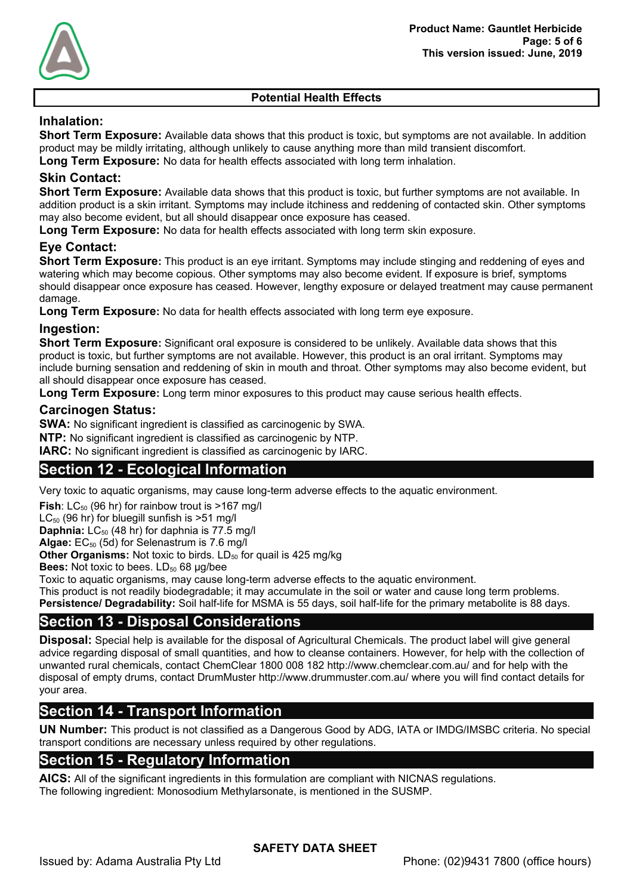

# **Potential Health Effects**

# **Inhalation:**

**Short Term Exposure:** Available data shows that this product is toxic, but symptoms are not available. In addition product may be mildly irritating, although unlikely to cause anything more than mild transient discomfort. **Long Term Exposure:** No data for health effects associated with long term inhalation.

# **Skin Contact:**

**Short Term Exposure:** Available data shows that this product is toxic, but further symptoms are not available. In addition product is a skin irritant. Symptoms may include itchiness and reddening of contacted skin. Other symptoms may also become evident, but all should disappear once exposure has ceased.

**Long Term Exposure:** No data for health effects associated with long term skin exposure.

# **Eye Contact:**

**Short Term Exposure:** This product is an eye irritant. Symptoms may include stinging and reddening of eyes and watering which may become copious. Other symptoms may also become evident. If exposure is brief, symptoms should disappear once exposure has ceased. However, lengthy exposure or delayed treatment may cause permanent damage.

**Long Term Exposure:** No data for health effects associated with long term eye exposure.

#### **Ingestion:**

**Short Term Exposure:** Significant oral exposure is considered to be unlikely. Available data shows that this product is toxic, but further symptoms are not available. However, this product is an oral irritant. Symptoms may include burning sensation and reddening of skin in mouth and throat. Other symptoms may also become evident, but all should disappear once exposure has ceased.

**Long Term Exposure:** Long term minor exposures to this product may cause serious health effects.

#### **Carcinogen Status:**

**SWA:** No significant ingredient is classified as carcinogenic by SWA.

**NTP:** No significant ingredient is classified as carcinogenic by NTP.

**IARC:** No significant ingredient is classified as carcinogenic by IARC.

# **Section 12 - Ecological Information**

Very toxic to aquatic organisms, may cause long-term adverse effects to the aquatic environment.

**Fish**:  $LC_{50}$  (96 hr) for rainbow trout is  $>167$  mg/l

 $LC_{50}$  (96 hr) for bluegill sunfish is  $>51$  mg/l

**Daphnia:** LC<sub>50</sub> (48 hr) for daphnia is 77.5 mg/l

**Algae:** EC50 (5d) for Selenastrum is 7.6 mg/l

**Other Organisms:** Not toxic to birds. LD<sub>50</sub> for quail is 425 mg/kg

**Bees:** Not toxic to bees. LD<sub>50</sub> 68 µg/bee

Toxic to aquatic organisms, may cause long-term adverse effects to the aquatic environment.

This product is not readily biodegradable; it may accumulate in the soil or water and cause long term problems.

**Persistence/ Degradability:** Soil half-life for MSMA is 55 days, soil half-life for the primary metabolite is 88 days.

# **Section 13 - Disposal Considerations**

**Disposal:** Special help is available for the disposal of Agricultural Chemicals. The product label will give general advice regarding disposal of small quantities, and how to cleanse containers. However, for help with the collection of unwanted rural chemicals, contact ChemClear 1800 008 182 http://www.chemclear.com.au/ and for help with the disposal of empty drums, contact DrumMuster http://www.drummuster.com.au/ where you will find contact details for your area.

# **Section 14 - Transport Information**

**UN Number:** This product is not classified as a Dangerous Good by ADG, IATA or IMDG/IMSBC criteria. No special transport conditions are necessary unless required by other regulations.

# **Section 15 - Regulatory Information**

**AICS:** All of the significant ingredients in this formulation are compliant with NICNAS regulations. The following ingredient: Monosodium Methylarsonate, is mentioned in the SUSMP.